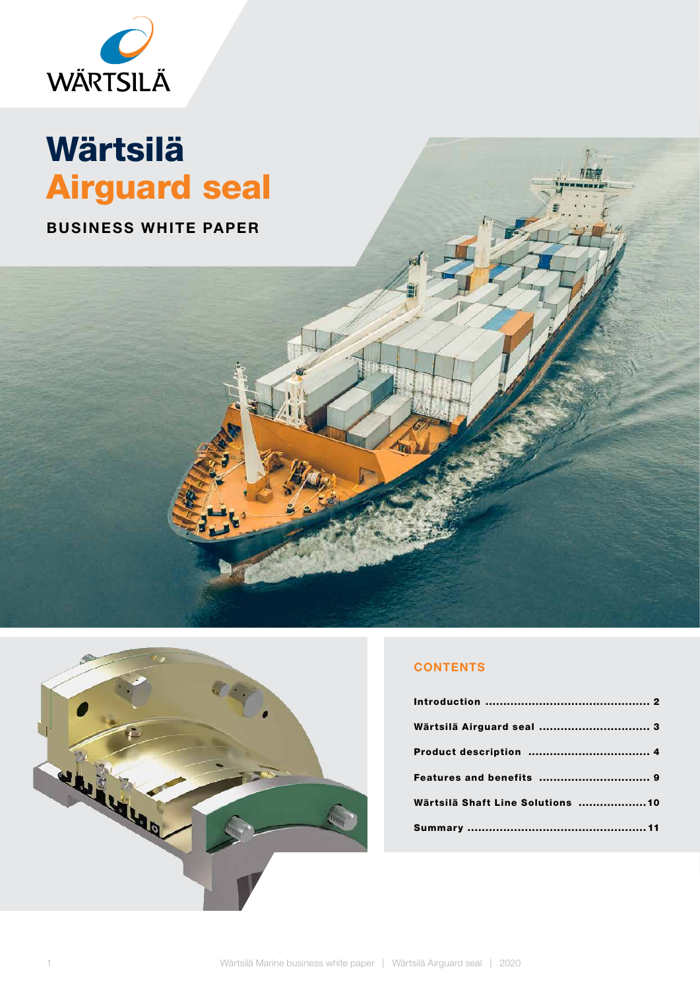

### Wärtsilä Airguard seal

BUSINESS WHITE PAPER



### **CONTENTS**

| Wärtsilä Airguard seal  3         |  |
|-----------------------------------|--|
|                                   |  |
|                                   |  |
| Wärtsilä Shaft Line Solutions  10 |  |
|                                   |  |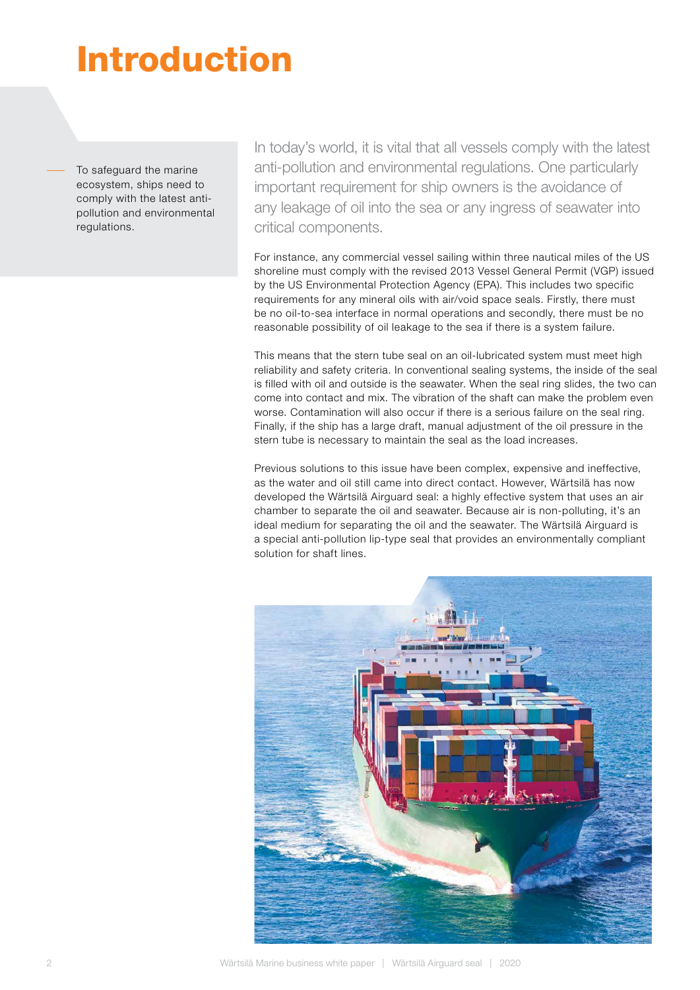## Introduction

To safeguard the marine ecosystem, ships need to comply with the latest antipollution and environmental regulations.

In today's world, it is vital that all vessels comply with the latest anti-pollution and environmental regulations. One particularly important requirement for ship owners is the avoidance of any leakage of oil into the sea or any ingress of seawater into critical components.

For instance, any commercial vessel sailing within three nautical miles of the US shoreline must comply with the revised 2013 Vessel General Permit (VGP) issued by the US Environmental Protection Agency (EPA). This includes two specific requirements for any mineral oils with air/void space seals. Firstly, there must be no oil-to-sea interface in normal operations and secondly, there must be no reasonable possibility of oil leakage to the sea if there is a system failure.

This means that the stern tube seal on an oil-lubricated system must meet high reliability and safety criteria. In conventional sealing systems, the inside of the seal is filled with oil and outside is the seawater. When the seal ring slides, the two can come into contact and mix. The vibration of the shaft can make the problem even worse. Contamination will also occur if there is a serious failure on the seal ring. Finally, if the ship has a large draft, manual adjustment of the oil pressure in the stern tube is necessary to maintain the seal as the load increases.

Previous solutions to this issue have been complex, expensive and ineffective, as the water and oil still came into direct contact. However, Wärtsilä has now developed the Wärtsilä Airguard seal: a highly effective system that uses an air chamber to separate the oil and seawater. Because air is non-polluting, it's an ideal medium for separating the oil and the seawater. The Wärtsilä Airguard is a special anti-pollution lip-type seal that provides an environmentally compliant solution for shaft lines.

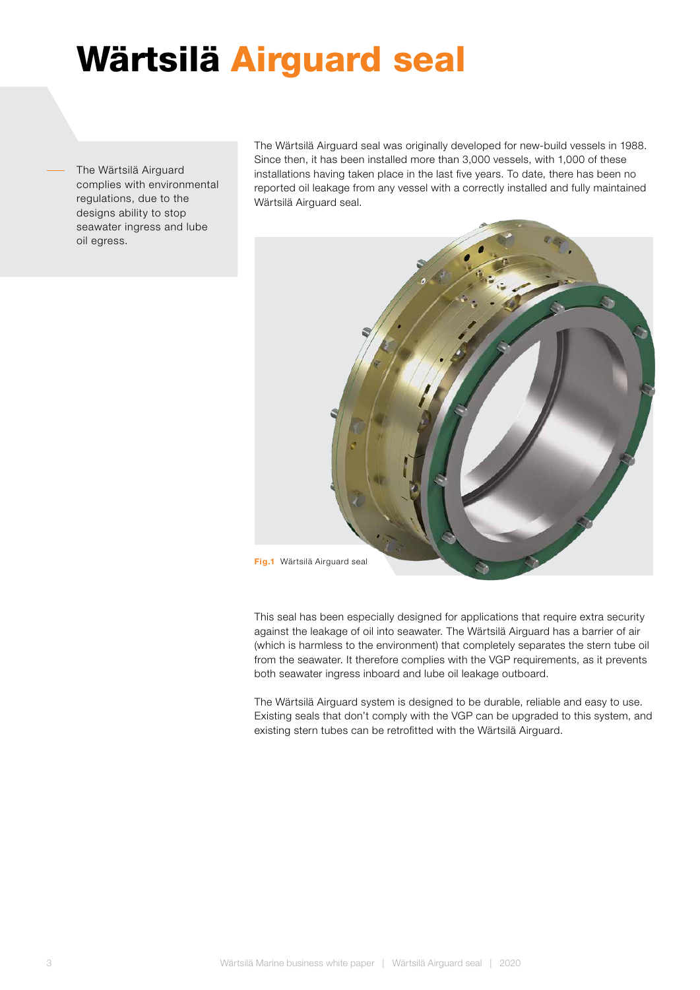## Wärtsilä Airguard seal

The Wärtsilä Airguard complies with environmental regulations, due to the designs ability to stop seawater ingress and lube oil egress.

The Wärtsilä Airguard seal was originally developed for new-build vessels in 1988. Since then, it has been installed more than 3,000 vessels, with 1,000 of these installations having taken place in the last five years. To date, there has been no reported oil leakage from any vessel with a correctly installed and fully maintained Wärtsilä Airguard seal.



This seal has been especially designed for applications that require extra security against the leakage of oil into seawater. The Wärtsilä Airguard has a barrier of air (which is harmless to the environment) that completely separates the stern tube oil from the seawater. It therefore complies with the VGP requirements, as it prevents both seawater ingress inboard and lube oil leakage outboard.

The Wärtsilä Airguard system is designed to be durable, reliable and easy to use. Existing seals that don't comply with the VGP can be upgraded to this system, and existing stern tubes can be retrofitted with the Wärtsilä Airguard.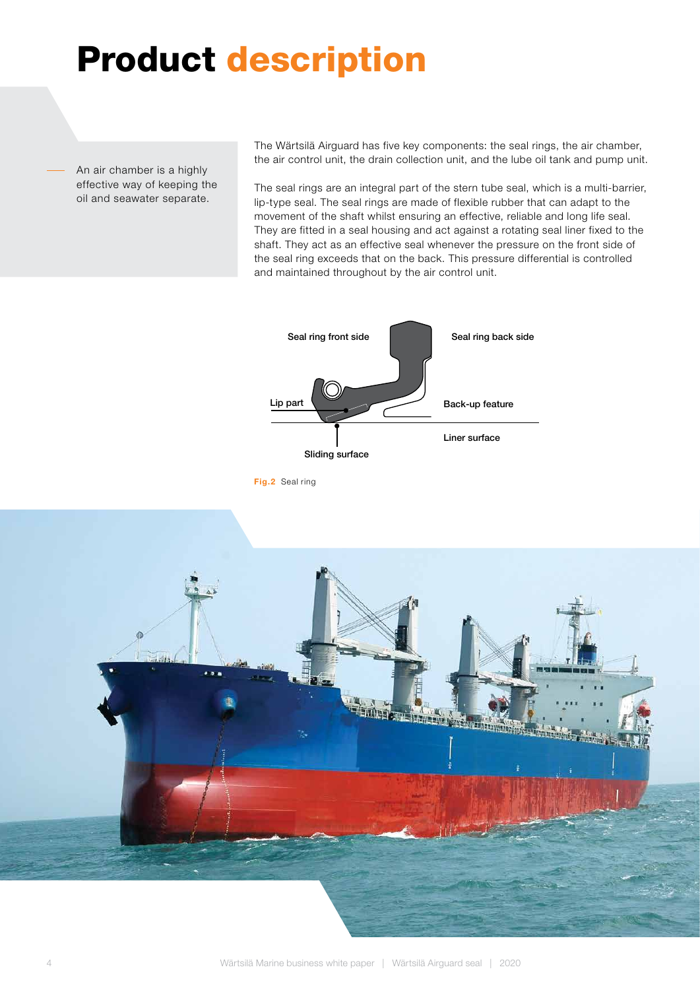### Product description

An air chamber is a highly effective way of keeping the oil and seawater separate.

The Wärtsilä Airguard has five key components: the seal rings, the air chamber, the air control unit, the drain collection unit, and the lube oil tank and pump unit.

The seal rings are an integral part of the stern tube seal, which is a multi-barrier, lip-type seal. The seal rings are made of flexible rubber that can adapt to the movement of the shaft whilst ensuring an effective, reliable and long life seal. They are fitted in a seal housing and act against a rotating seal liner fixed to the shaft. They act as an effective seal whenever the pressure on the front side of the seal ring exceeds that on the back. This pressure differential is controlled and maintained throughout by the air control unit.



Fig.2 Seal ring

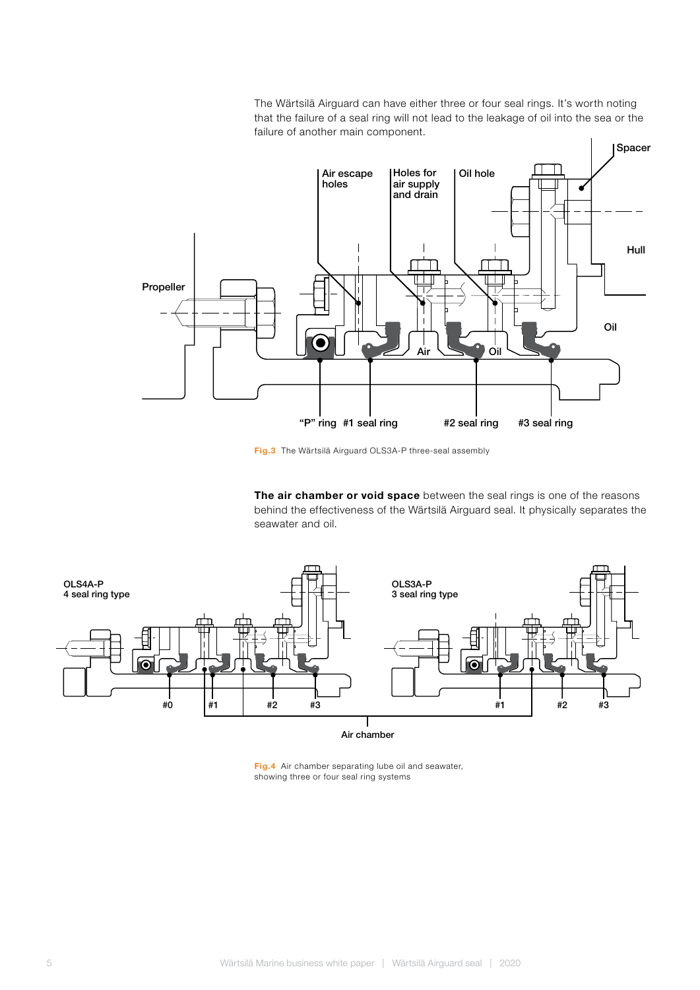The Wärtsilä Airguard can have either three or four seal rings. It's worth noting that the failure of a seal ring will not lead to the leakage of oil into the sea or the failure of another main component.



Fig.3 The Wärtsilä Airguard OLS3A-P three-seal assembly

The air chamber or void space between the seal rings is one of the reasons behind the effectiveness of the Wärtsilä Airguard seal. It physically separates the seawater and oil.



Fig.4 Air chamber separating lube oil and seawater, showing three or four seal ring systems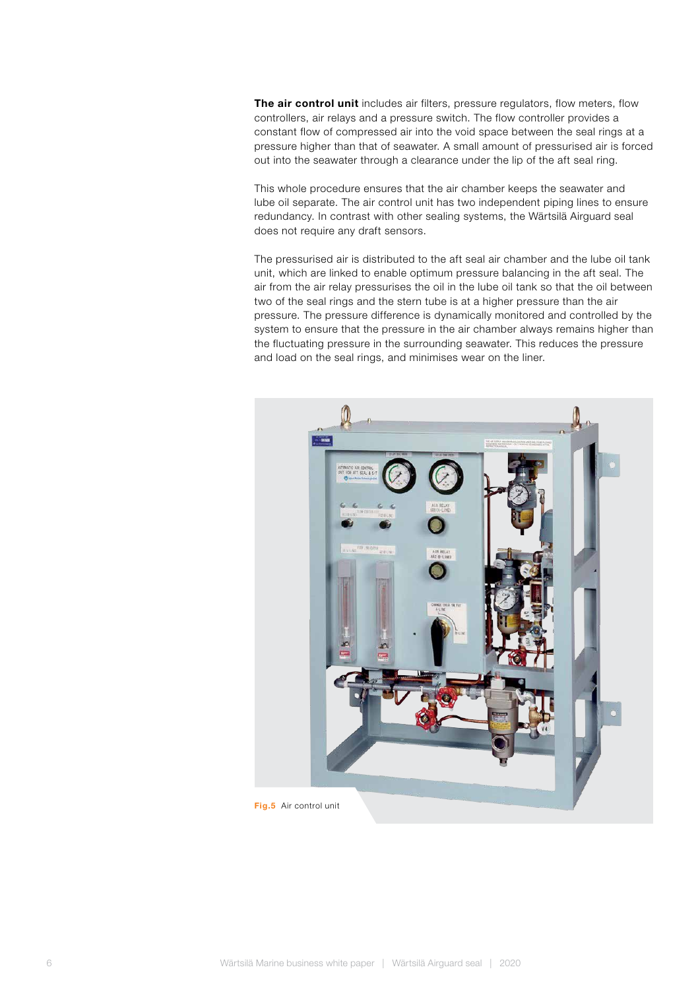The air control unit includes air filters, pressure regulators, flow meters, flow controllers, air relays and a pressure switch. The flow controller provides a constant flow of compressed air into the void space between the seal rings at a pressure higher than that of seawater. A small amount of pressurised air is forced out into the seawater through a clearance under the lip of the aft seal ring.

This whole procedure ensures that the air chamber keeps the seawater and lube oil separate. The air control unit has two independent piping lines to ensure redundancy. In contrast with other sealing systems, the Wärtsilä Airguard seal does not require any draft sensors.

The pressurised air is distributed to the aft seal air chamber and the lube oil tank unit, which are linked to enable optimum pressure balancing in the aft seal. The air from the air relay pressurises the oil in the lube oil tank so that the oil between two of the seal rings and the stern tube is at a higher pressure than the air pressure. The pressure difference is dynamically monitored and controlled by the system to ensure that the pressure in the air chamber always remains higher than the fluctuating pressure in the surrounding seawater. This reduces the pressure and load on the seal rings, and minimises wear on the liner.

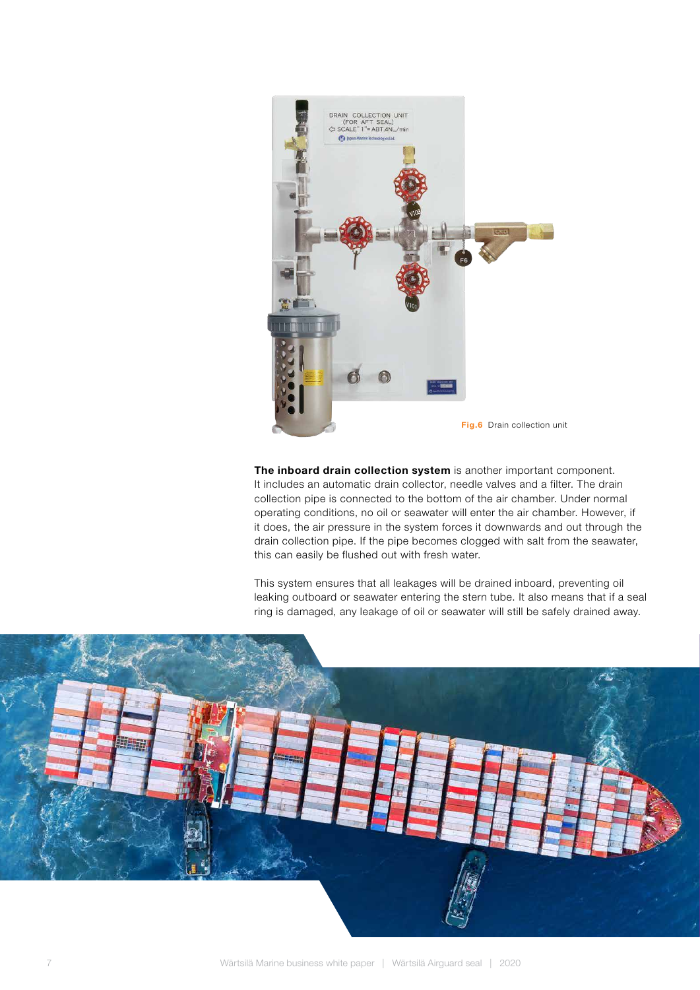

The inboard drain collection system is another important component. It includes an automatic drain collector, needle valves and a filter. The drain collection pipe is connected to the bottom of the air chamber. Under normal operating conditions, no oil or seawater will enter the air chamber. However, if it does, the air pressure in the system forces it downwards and out through the drain collection pipe. If the pipe becomes clogged with salt from the seawater, this can easily be flushed out with fresh water.

This system ensures that all leakages will be drained inboard, preventing oil leaking outboard or seawater entering the stern tube. It also means that if a seal ring is damaged, any leakage of oil or seawater will still be safely drained away.

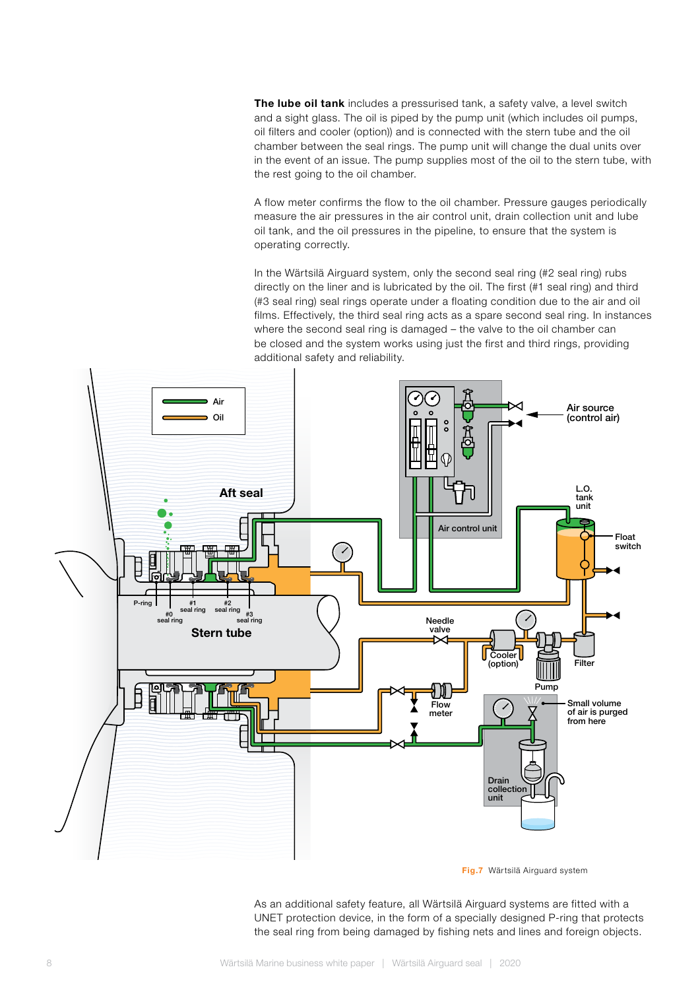The lube oil tank includes a pressurised tank, a safety valve, a level switch and a sight glass. The oil is piped by the pump unit (which includes oil pumps, oil filters and cooler (option)) and is connected with the stern tube and the oil chamber between the seal rings. The pump unit will change the dual units over in the event of an issue. The pump supplies most of the oil to the stern tube, with the rest going to the oil chamber.

A flow meter confirms the flow to the oil chamber. Pressure gauges periodically measure the air pressures in the air control unit, drain collection unit and lube oil tank, and the oil pressures in the pipeline, to ensure that the system is operating correctly.

In the Wärtsilä Airguard system, only the second seal ring (#2 seal ring) rubs directly on the liner and is lubricated by the oil. The first (#1 seal ring) and third (#3 seal ring) seal rings operate under a floating condition due to the air and oil films. Effectively, the third seal ring acts as a spare second seal ring. In instances where the second seal ring is damaged – the valve to the oil chamber can be closed and the system works using just the first and third rings, providing additional safety and reliability.



Fig.7 Wärtsilä Airguard system

As an additional safety feature, all Wärtsilä Airguard systems are fitted with a UNET protection device, in the form of a specially designed P-ring that protects the seal ring from being damaged by fishing nets and lines and foreign objects.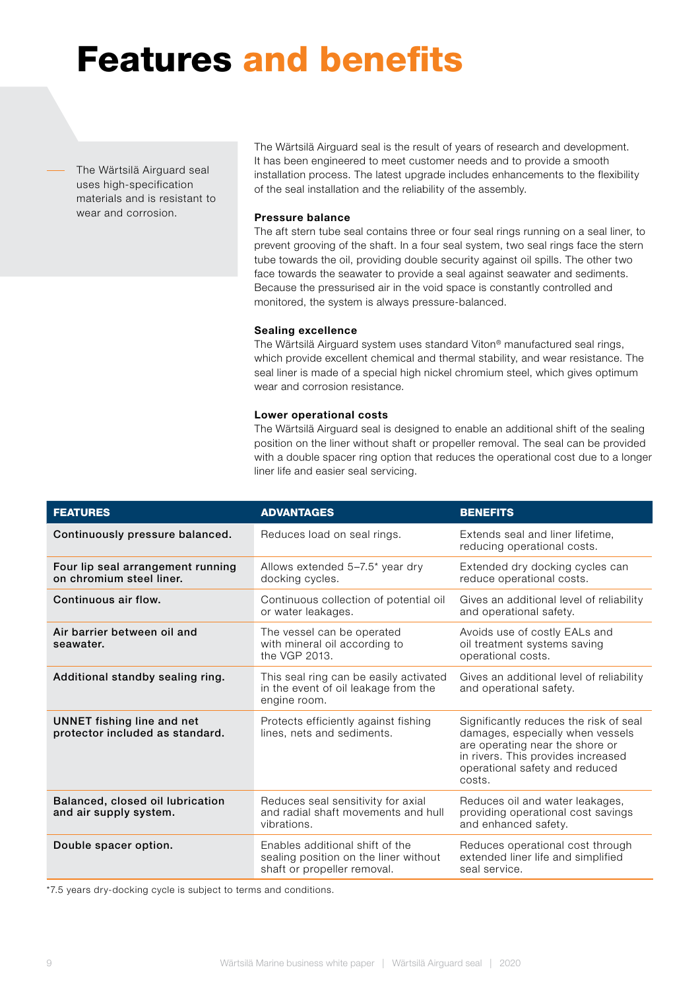### Features and benefits

The Wärtsilä Airguard seal uses high-specification materials and is resistant to wear and corrosion.

The Wärtsilä Airguard seal is the result of years of research and development. It has been engineered to meet customer needs and to provide a smooth installation process. The latest upgrade includes enhancements to the flexibility of the seal installation and the reliability of the assembly.

### Pressure balance

The aft stern tube seal contains three or four seal rings running on a seal liner, to prevent grooving of the shaft. In a four seal system, two seal rings face the stern tube towards the oil, providing double security against oil spills. The other two face towards the seawater to provide a seal against seawater and sediments. Because the pressurised air in the void space is constantly controlled and monitored, the system is always pressure-balanced.

### Sealing excellence

The Wärtsilä Airguard system uses standard Viton® manufactured seal rings, which provide excellent chemical and thermal stability, and wear resistance. The seal liner is made of a special high nickel chromium steel, which gives optimum wear and corrosion resistance.

#### Lower operational costs

The Wärtsilä Airguard seal is designed to enable an additional shift of the sealing position on the liner without shaft or propeller removal. The seal can be provided with a double spacer ring option that reduces the operational cost due to a longer liner life and easier seal servicing.

| <b>FEATURES</b>                                               | <b>ADVANTAGES</b>                                                                                       | <b>BENEFITS</b>                                                                                                                                                                                 |
|---------------------------------------------------------------|---------------------------------------------------------------------------------------------------------|-------------------------------------------------------------------------------------------------------------------------------------------------------------------------------------------------|
| Continuously pressure balanced.                               | Reduces load on seal rings.                                                                             | Extends seal and liner lifetime,<br>reducing operational costs.                                                                                                                                 |
| Four lip seal arrangement running<br>on chromium steel liner. | Allows extended $5-7.5$ * year dry<br>docking cycles.                                                   | Extended dry docking cycles can<br>reduce operational costs.                                                                                                                                    |
| Continuous air flow.                                          | Continuous collection of potential oil<br>or water leakages.                                            | Gives an additional level of reliability<br>and operational safety.                                                                                                                             |
| Air barrier between oil and<br>seawater.                      | The vessel can be operated<br>with mineral oil according to<br>the VGP 2013.                            | Avoids use of costly EALs and<br>oil treatment systems saving<br>operational costs.                                                                                                             |
| Additional standby sealing ring.                              | This seal ring can be easily activated<br>in the event of oil leakage from the<br>engine room.          | Gives an additional level of reliability<br>and operational safety.                                                                                                                             |
| UNNET fishing line and net<br>protector included as standard. | Protects efficiently against fishing<br>lines, nets and sediments.                                      | Significantly reduces the risk of seal<br>damages, especially when vessels<br>are operating near the shore or<br>in rivers. This provides increased<br>operational safety and reduced<br>costs. |
| Balanced, closed oil lubrication<br>and air supply system.    | Reduces seal sensitivity for axial<br>and radial shaft movements and hull<br>vibrations.                | Reduces oil and water leakages,<br>providing operational cost savings<br>and enhanced safety.                                                                                                   |
| Double spacer option.                                         | Enables additional shift of the<br>sealing position on the liner without<br>shaft or propeller removal. | Reduces operational cost through<br>extended liner life and simplified<br>seal service.                                                                                                         |

\*7.5 years dry-docking cycle is subject to terms and conditions.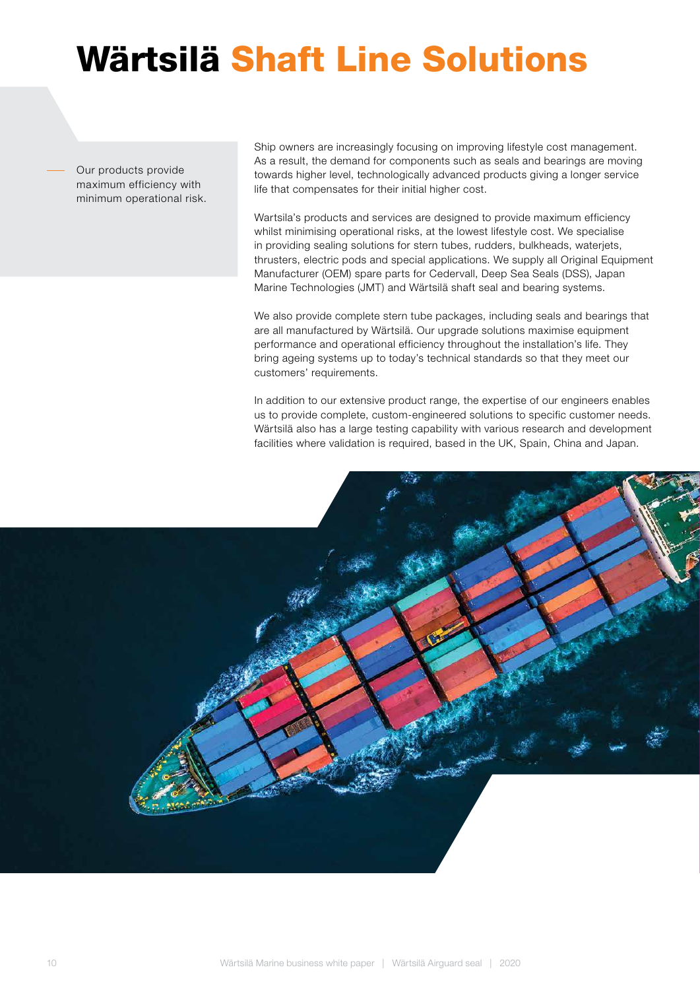# Wärtsilä Shaft Line Solutions

Our products provide maximum efficiency with minimum operational risk. Ship owners are increasingly focusing on improving lifestyle cost management. As a result, the demand for components such as seals and bearings are moving towards higher level, technologically advanced products giving a longer service life that compensates for their initial higher cost.

Wartsila's products and services are designed to provide maximum efficiency whilst minimising operational risks, at the lowest lifestyle cost. We specialise in providing sealing solutions for stern tubes, rudders, bulkheads, waterjets, thrusters, electric pods and special applications. We supply all Original Equipment Manufacturer (OEM) spare parts for Cedervall, Deep Sea Seals (DSS), Japan Marine Technologies (JMT) and Wärtsilä shaft seal and bearing systems.

We also provide complete stern tube packages, including seals and bearings that are all manufactured by Wärtsilä. Our upgrade solutions maximise equipment performance and operational efficiency throughout the installation's life. They bring ageing systems up to today's technical standards so that they meet our customers' requirements.

In addition to our extensive product range, the expertise of our engineers enables us to provide complete, custom-engineered solutions to specific customer needs. Wärtsilä also has a large testing capability with various research and development facilities where validation is required, based in the UK, Spain, China and Japan.

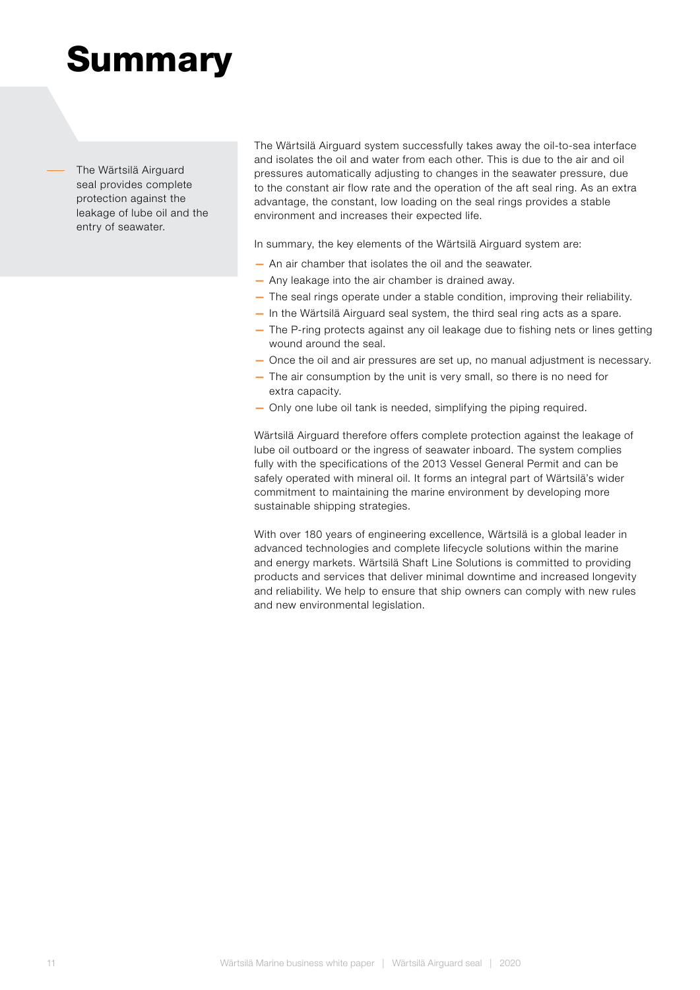### **Summary**

The Wärtsilä Airguard seal provides complete protection against the leakage of lube oil and the entry of seawater.

The Wärtsilä Airguard system successfully takes away the oil-to-sea interface and isolates the oil and water from each other. This is due to the air and oil pressures automatically adjusting to changes in the seawater pressure, due to the constant air flow rate and the operation of the aft seal ring. As an extra advantage, the constant, low loading on the seal rings provides a stable environment and increases their expected life.

In summary, the key elements of the Wärtsilä Airguard system are:

- An air chamber that isolates the oil and the seawater.
- Any leakage into the air chamber is drained away.
- The seal rings operate under a stable condition, improving their reliability.
- In the Wärtsilä Airguard seal system, the third seal ring acts as a spare.
- The P-ring protects against any oil leakage due to fishing nets or lines getting wound around the seal.
- Once the oil and air pressures are set up, no manual adjustment is necessary.
- The air consumption by the unit is very small, so there is no need for extra capacity.
- Only one lube oil tank is needed, simplifying the piping required.

Wärtsilä Airguard therefore offers complete protection against the leakage of lube oil outboard or the ingress of seawater inboard. The system complies fully with the specifications of the 2013 Vessel General Permit and can be safely operated with mineral oil. It forms an integral part of Wärtsilä's wider commitment to maintaining the marine environment by developing more sustainable shipping strategies.

With over 180 years of engineering excellence, Wärtsilä is a global leader in advanced technologies and complete lifecycle solutions within the marine and energy markets. Wärtsilä Shaft Line Solutions is committed to providing products and services that deliver minimal downtime and increased longevity and reliability. We help to ensure that ship owners can comply with new rules and new environmental legislation.